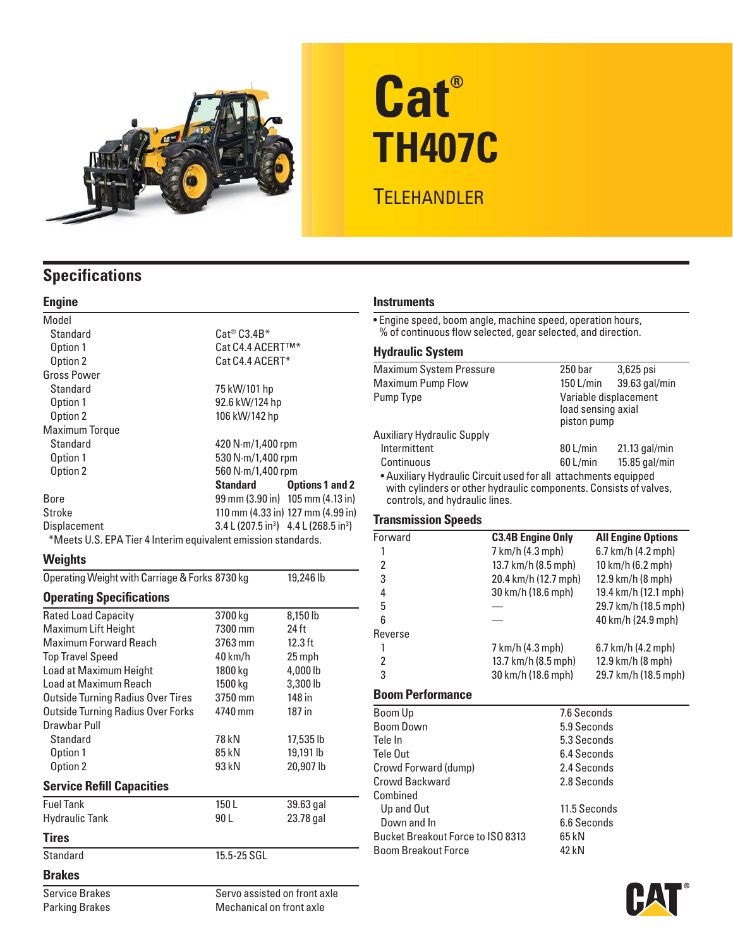

# **Cat® TH407C TELEHANDLER**

## **Specifications**

#### **Engine**

| Model                                                         |                                                                     |                                                      |  |  |
|---------------------------------------------------------------|---------------------------------------------------------------------|------------------------------------------------------|--|--|
| Standard                                                      | $\mathsf{Cat}^\circledast \mathsf{C3.4B}^*$                         |                                                      |  |  |
| Option 1                                                      | Cat C4.4 ACERT™*                                                    |                                                      |  |  |
| Option 2                                                      | Cat C4.4 ACERT*                                                     |                                                      |  |  |
| <b>Gross Power</b>                                            |                                                                     |                                                      |  |  |
| Standard                                                      | 75 kW/101 hp                                                        |                                                      |  |  |
| Option 1                                                      | 92.6 kW/124 hp                                                      |                                                      |  |  |
| Option 2                                                      | 106 kW/142 hp                                                       |                                                      |  |  |
| <b>Maximum Torque</b>                                         |                                                                     |                                                      |  |  |
| Standard                                                      | 420 $N·m/1,400$ rpm                                                 |                                                      |  |  |
| Option 1                                                      | 530 N·m/1,400 rpm                                                   |                                                      |  |  |
| Option 2                                                      | 560 N·m/1,400 rpm                                                   |                                                      |  |  |
|                                                               | Standard                                                            | <b>Options 1 and 2</b>                               |  |  |
| Bore                                                          |                                                                     | $99 \text{ mm}$ (3.90 in) $105 \text{ mm}$ (4.13 in) |  |  |
| Stroke                                                        |                                                                     | 110 mm (4.33 in) 127 mm (4.99 in)                    |  |  |
| <b>Displacement</b>                                           | $3.4 \text{ L} (207.5 \text{ in}^3)$ 4.4 L (268.5 in <sup>3</sup> ) |                                                      |  |  |
| *Meets U.S. EPA Tier 4 Interim equivalent emission standards. |                                                                     |                                                      |  |  |

#### **Weights**

| Operating Weight with Carriage & Forks 8730 kg | 19,246 lb                    |
|------------------------------------------------|------------------------------|
|                                                |                              |
| 3700 kg                                        | 8,150 lb                     |
| 7300 mm                                        | 24 ft                        |
| 3763 mm                                        | $12.3$ ft                    |
| 40 km/h                                        | 25 mph                       |
| 1800 kg                                        | 4,000 lb                     |
| 1500 kg                                        | 3,300 lb                     |
| 3750 mm                                        | 148 in                       |
| 4740 mm                                        | 187 in                       |
|                                                |                              |
| 78 kN                                          | 17,535 lb                    |
| 85 kN                                          | 19,191 lb                    |
| 93 kN                                          | 20,907 lb                    |
|                                                |                              |
| 150L                                           | 39.63 gal                    |
| 90 L                                           | 23.78 gal                    |
|                                                |                              |
| 15.5-25 SGL                                    |                              |
|                                                |                              |
|                                                | Servo assisted on front axle |
|                                                |                              |

Parking Brakes Mechanical on front axle

#### **Instruments**

• Engine speed, boom angle, machine speed, operation hours, % of continuous flow selected, gear selected, and direction.

#### **Hydraulic System**

| Maximum System Pressure                                                                                                                                                | 250 bar                                                    | $3,625$ psi     |  |
|------------------------------------------------------------------------------------------------------------------------------------------------------------------------|------------------------------------------------------------|-----------------|--|
| <b>Maximum Pump Flow</b>                                                                                                                                               | 150 L/min                                                  | 39.63 gal/min   |  |
| Pump Type                                                                                                                                                              | Variable displacement<br>load sensing axial<br>piston pump |                 |  |
| Auxiliary Hydraulic Supply                                                                                                                                             |                                                            |                 |  |
| Intermittent                                                                                                                                                           | 80 L/min                                                   | $21.13$ gal/min |  |
| Continuous                                                                                                                                                             | 60 L/min                                                   | $15.85$ gal/min |  |
| • Auxiliary Hydraulic Circuit used for all attachments equipped<br>with cylinders or other hydraulic components. Consists of valves,<br>controls, and hydraulic lines. |                                                            |                 |  |

#### **Transmission Speeds**

| Forward        | <b>C3.4B Engine Only</b> | <b>All Engine Options</b>    |
|----------------|--------------------------|------------------------------|
|                | 7 km/h (4.3 mph)         | 6.7 km/h (4.2 mph)           |
| 2              | 13.7 km/h (8.5 mph)      | 10 km/h (6.2 mph)            |
| 3              | 20.4 km/h (12.7 mph)     | 12.9 km/h (8 mph)            |
| 4              | 30 km/h (18.6 mph)       | 19.4 km/h (12.1 mph)         |
| 5              |                          | 29.7 km/h (18.5 mph)         |
| 6              |                          | 40 km/h (24.9 mph)           |
| Reverse        |                          |                              |
|                | 7 km/h (4.3 mph)         | $6.7 \text{ km/h}$ (4.2 mph) |
| $\overline{2}$ | 13.7 km/h (8.5 mph)      | 12.9 km/h (8 mph)            |
| 3              | 30 km/h (18.6 mph)       | 29.7 km/h (18.5 mph)         |
|                |                          |                              |

#### **Boom Performance**

| Boom Up                           | 7.6 Seconds  |  |
|-----------------------------------|--------------|--|
| <b>Boom Down</b>                  | 5.9 Seconds  |  |
| Tele In                           | 5.3 Seconds  |  |
| Tele Out                          | 6.4 Seconds  |  |
| Crowd Forward (dump)              | 2.4 Seconds  |  |
| Crowd Backward                    | 2.8 Seconds  |  |
| Combined                          |              |  |
| Up and Out                        | 11.5 Seconds |  |
| Down and In                       | 6.6 Seconds  |  |
| Bucket Breakout Force to ISO 8313 | 65 kN        |  |
| <b>Boom Breakout Force</b>        | 42 kN        |  |
|                                   |              |  |